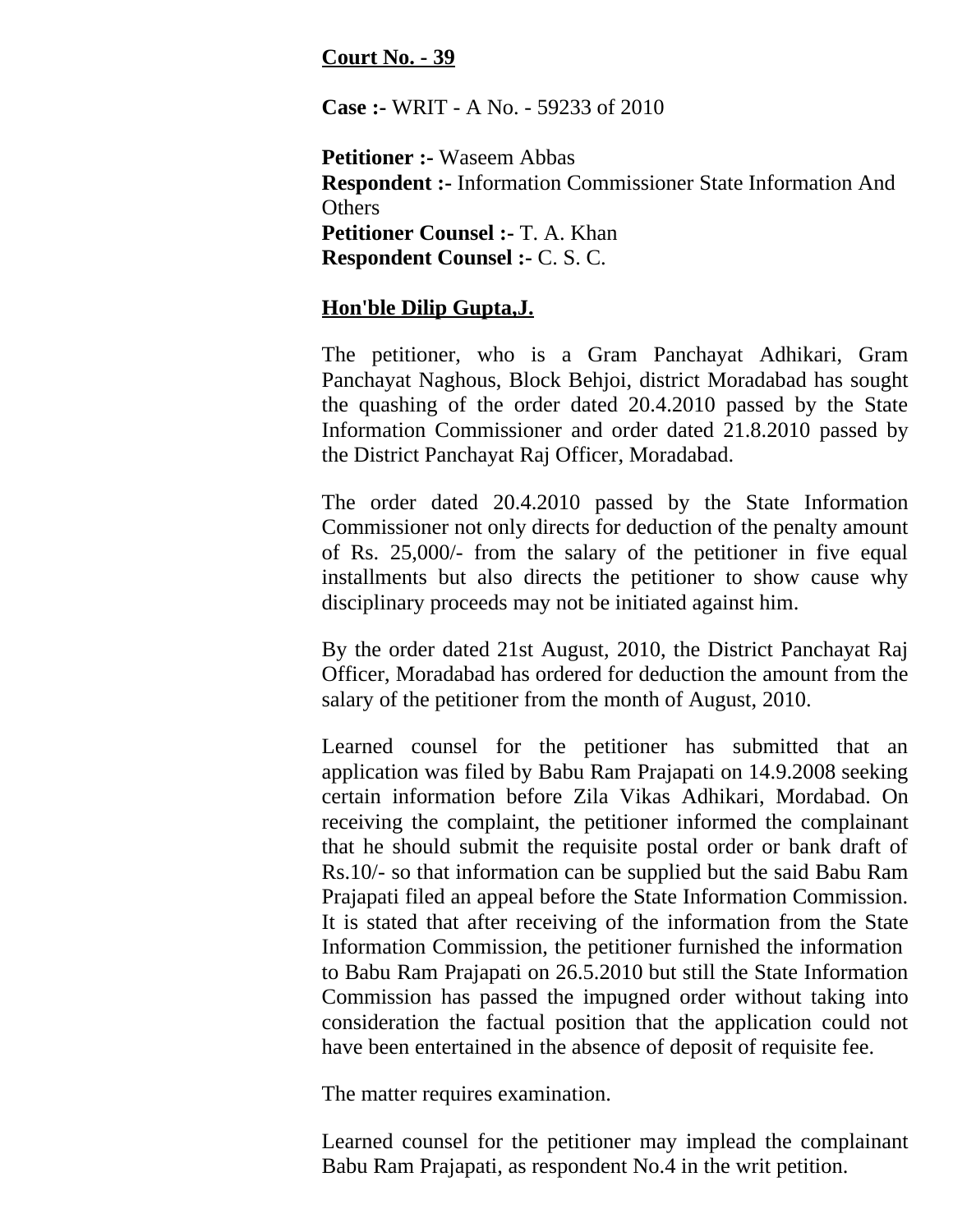## **Court No. - 39**

**Case :-** WRIT - A No. - 59233 of 2010

**Petitioner :-** Waseem Abbas **Respondent :-** Information Commissioner State Information And **Others Petitioner Counsel :-** T. A. Khan **Respondent Counsel :-** C. S. C.

## **Hon'ble Dilip Gupta,J.**

The petitioner, who is a Gram Panchayat Adhikari, Gram Panchayat Naghous, Block Behjoi, district Moradabad has sought the quashing of the order dated 20.4.2010 passed by the State Information Commissioner and order dated 21.8.2010 passed by the District Panchayat Raj Officer, Moradabad.

The order dated 20.4.2010 passed by the State Information Commissioner not only directs for deduction of the penalty amount of Rs. 25,000/- from the salary of the petitioner in five equal installments but also directs the petitioner to show cause why disciplinary proceeds may not be initiated against him.

By the order dated 21st August, 2010, the District Panchayat Raj Officer, Moradabad has ordered for deduction the amount from the salary of the petitioner from the month of August, 2010.

Learned counsel for the petitioner has submitted that an application was filed by Babu Ram Prajapati on 14.9.2008 seeking certain information before Zila Vikas Adhikari, Mordabad. On receiving the complaint, the petitioner informed the complainant that he should submit the requisite postal order or bank draft of Rs.10/- so that information can be supplied but the said Babu Ram Prajapati filed an appeal before the State Information Commission. It is stated that after receiving of the information from the State Information Commission, the petitioner furnished the information to Babu Ram Prajapati on 26.5.2010 but still the State Information Commission has passed the impugned order without taking into consideration the factual position that the application could not have been entertained in the absence of deposit of requisite fee.

The matter requires examination.

Learned counsel for the petitioner may implead the complainant Babu Ram Prajapati, as respondent No.4 in the writ petition.